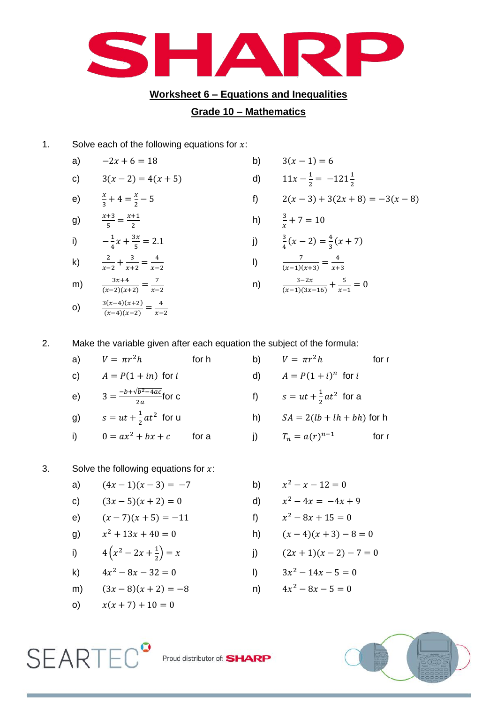

## **Worksheet 6 – Equations and Inequalities**

## **Grade 10 – Mathematics**

h)

n)

1. Solve each of the following equations for  $x$ :

a) 
$$
-2x + 6 = 18
$$
 b)

c) 
$$
3(x-2) = 4(x+5)
$$
 d) 1

e) 
$$
\frac{x}{3} + 4 = \frac{x}{2} - 5
$$

g) 
$$
\frac{x+3}{5} = \frac{x+1}{2}
$$

i) 
$$
-\frac{1}{4}x + \frac{3x}{5} = 2.1
$$
 j)  $\frac{3}{4}$ 

k) 
$$
\frac{2}{x-2} + \frac{3}{x+2} = \frac{4}{x-2}
$$

m) 
$$
\frac{3x+4}{(x-2)(x+2)} = \frac{7}{x-2}
$$

$$
o) \qquad \frac{3(x-4)(x+2)}{(x-4)(x-2)} = \frac{4}{x-2}
$$

$$
= 4(x + 5)
$$
  
\n
$$
= 4(x + 5)
$$
  
\n
$$
= 5
$$
  
\n
$$
= 5
$$
  
\n
$$
= 2.1
$$
  
\n
$$
= \frac{4}{x-3}
$$
  
\n
$$
= 12x + 3
$$
  
\n
$$
= 2.1
$$
  
\n
$$
= 2.2
$$
  
\n
$$
= 2.2
$$
  
\n
$$
= 2.3
$$
  
\n
$$
= 2.3
$$
  
\n
$$
= 2.3
$$
  
\n
$$
= 2.3
$$
  
\n
$$
= 2.3
$$
  
\n
$$
= 2.3
$$
  
\n
$$
= 2.3
$$
  
\n
$$
= 2.3
$$
  
\n
$$
= 2.3
$$
  
\n
$$
= 2.3
$$
  
\n
$$
= 2.3
$$
  
\n
$$
= 2.3
$$
  
\n
$$
= 2.3
$$
  
\n
$$
= 2.3
$$
  
\n
$$
= 2.3
$$
  
\n
$$
= 2.3
$$
  
\n
$$
= 2.3
$$
  
\n
$$
= 2.3
$$
  
\n
$$
= 2.3
$$
  
\n
$$
= 2.3
$$
  
\n
$$
= 2.3
$$
  
\n
$$
= 2.3
$$
  
\n
$$
= 2.3
$$
  
\n
$$
= 2.3
$$
  
\n
$$
= 2.3
$$
  
\n
$$
= 2.3
$$
  
\n
$$
= 2.3
$$
  
\n
$$
= 2.3
$$
  
\n
$$
= 2.3
$$
  
\n
$$
= 2.3
$$
  
\n
$$
= 2.3
$$
  
\n
$$
= 2.3
$$
  
\n
$$
= 2.3
$$
  
\n
$$
= 2.3
$$
  
\n
$$
= 2.
$$

$$
\frac{1}{(x-1)(x+3)} - \frac{1}{x+3}
$$

 $3(x - 1) = 6$ 

$$
\frac{3-2x}{(x-1)(3x-16)} + \frac{5}{x-1} = 0
$$

2. Make the variable given after each equation the subject of the formula:

a) 
$$
V = \pi r^2 h
$$
 for h  
\nb)  $V = \pi r^2 h$  for r  
\nc)  $A = P(1 + in)$  for i  
\ne)  $3 = \frac{-b + \sqrt{b^2 - 4ac}}{2a}$  for c  
\nf)  $s = ut + \frac{1}{2}at^2$  for a  
\ng)  $s = ut + \frac{1}{2}at^2$  for u  
\nh)  $SA = 2(lb + lh + bh)$  for h  
\ni)  $0 = ax^2 + bx + c$  for a  
\nj)  $T_n = a(r)^{n-1}$  for r

## 3. Solve the following equations for  $x$ :

a) 
$$
(4x-1)(x-3) = -7
$$
 b) x

c) 
$$
(3x-5)(x+2) = 0
$$
 d) x

e) 
$$
(x-7)(x+5) = -11
$$
 f) x

$$
y^2 + 13x + 40 = 0
$$

i) 
$$
4(x^2 - 2x + \frac{1}{2}) = x
$$

k) 
$$
4x^2 - 8x - 32 = 0
$$
 | ) 3

m) 
$$
(3x-8)(x+2) = -8
$$
 n) 4

$$
x(x+7) + 10 = 0
$$

**SEARTEC** 

(a) 
$$
x^2 - x - 12 = 0
$$
  
\n(b)  $x^2 - 4x = -4x + 9$   
\n(c)  $x^2 - 8x + 15 = 0$ 

h) 
$$
(x-4)(x+3)-8=0
$$

) j) ( )( )

$$
3x^2 - 14x - 5 = 0
$$

$$
4x^2 - 8x - 5 = 0
$$



Proud distributor of: SHARP